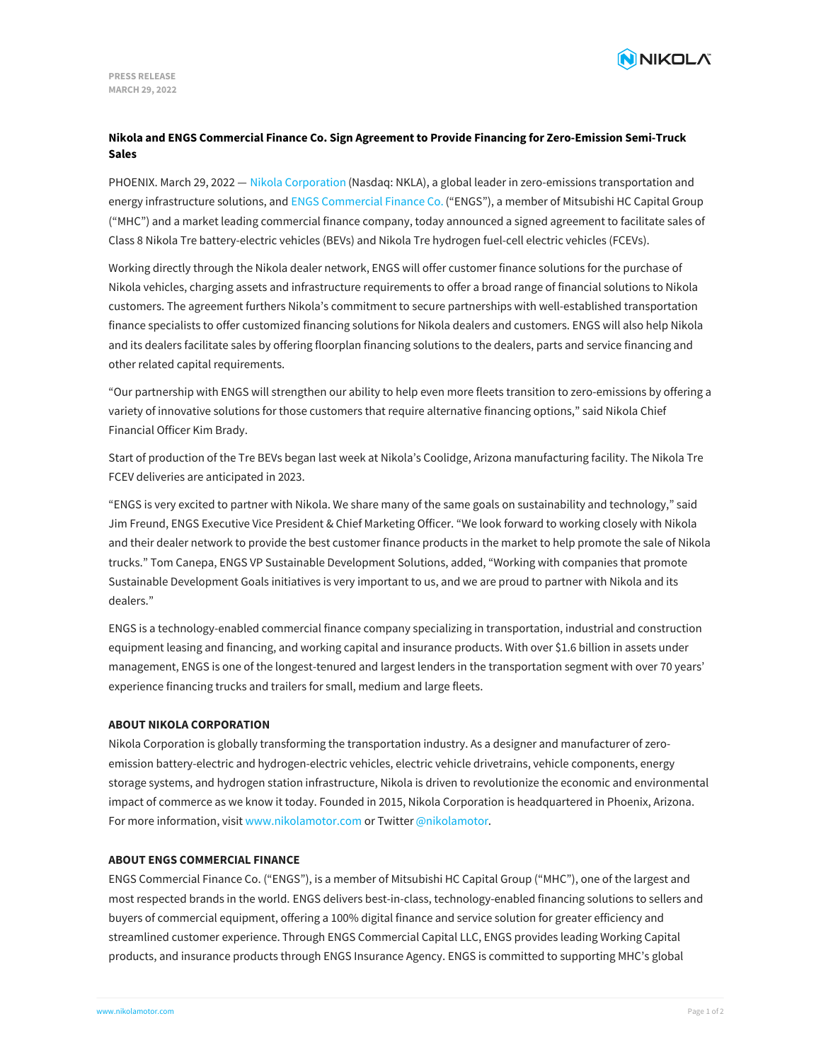

# **Nikola and ENGS Commercial Finance Co. Sign Agreement to Provide Financing for Zero-Emission Semi-Truck Sales**

PHOENIX. March 29, 2022 - Nikola [Corporation](https://www.nikolamotor.com/) (Nasdaq: NKLA), a global leader in zero-emissions transportation and energy infrastructure solutions, and ENGS [Commercial](https://engsfinance.com/) Finance Co. ("ENGS"), a member of Mitsubishi HC Capital Group ("MHC") and a market leading commercial finance company, today announced a signed agreement to facilitate sales of Class 8 Nikola Tre battery-electric vehicles (BEVs) and Nikola Tre hydrogen fuel-cell electric vehicles (FCEVs).

Working directly through the Nikola dealer network, ENGS will offer customer finance solutions for the purchase of Nikola vehicles, charging assets and infrastructure requirements to offer a broad range of financial solutions to Nikola customers. The agreement furthers Nikola's commitment to secure partnerships with well-established transportation finance specialists to offer customized financing solutions for Nikola dealers and customers. ENGS will also help Nikola and its dealers facilitate sales by offering floorplan financing solutions to the dealers, parts and service financing and other related capital requirements.

"Our partnership with ENGS will strengthen our ability to help even more fleets transition to zero-emissions by offering a variety of innovative solutions for those customers that require alternative financing options," said Nikola Chief Financial Officer Kim Brady.

Start of production of the Tre BEVs began last week at Nikola's Coolidge, Arizona manufacturing facility. The Nikola Tre FCEV deliveries are anticipated in 2023.

"ENGS is very excited to partner with Nikola. We share many of the same goals on sustainability and technology," said Jim Freund, ENGS Executive Vice President & Chief Marketing Officer. "We look forward to working closely with Nikola and their dealer network to provide the best customer finance products in the market to help promote the sale of Nikola trucks." Tom Canepa, ENGS VP Sustainable Development Solutions, added, "Working with companies that promote Sustainable Development Goals initiatives is very important to us, and we are proud to partner with Nikola and its dealers."

ENGS is a technology-enabled commercial finance company specializing in transportation, industrial and construction equipment leasing and financing, and working capital and insurance products. With over \$1.6 billion in assets under management, ENGS is one of the longest-tenured and largest lenders in the transportation segment with over 70 years' experience financing trucks and trailers for small, medium and large fleets.

### **ABOUT NIKOLA CORPORATION**

Nikola Corporation is globally transforming the transportation industry. As a designer and manufacturer of zeroemission battery-electric and hydrogen-electric vehicles, electric vehicle drivetrains, vehicle components, energy storage systems, and hydrogen station infrastructure, Nikola is driven to revolutionize the economic and environmental impact of commerce as we know it today. Founded in 2015, Nikola Corporation is headquartered in Phoenix, Arizona. For more information, visit [www.nikolamotor.com](https://www.nikolamotor.com) or Twitter [@nikolamotor](https://www.twitter.com/nikolamotor).

#### **ABOUT ENGS COMMERCIAL FINANCE**

ENGS Commercial Finance Co. ("ENGS"), is a member of Mitsubishi HC Capital Group ("MHC"), one of the largest and most respected brands in the world. ENGS delivers best-in-class, technology-enabled financing solutions to sellers and buyers of commercial equipment, offering a 100% digital finance and service solution for greater efficiency and streamlined customer experience. Through ENGS Commercial Capital LLC, ENGS provides leading Working Capital [products,](file:///) and insurance products through ENGS Insurance Agency. ENGS is committed to supporting MHC's global